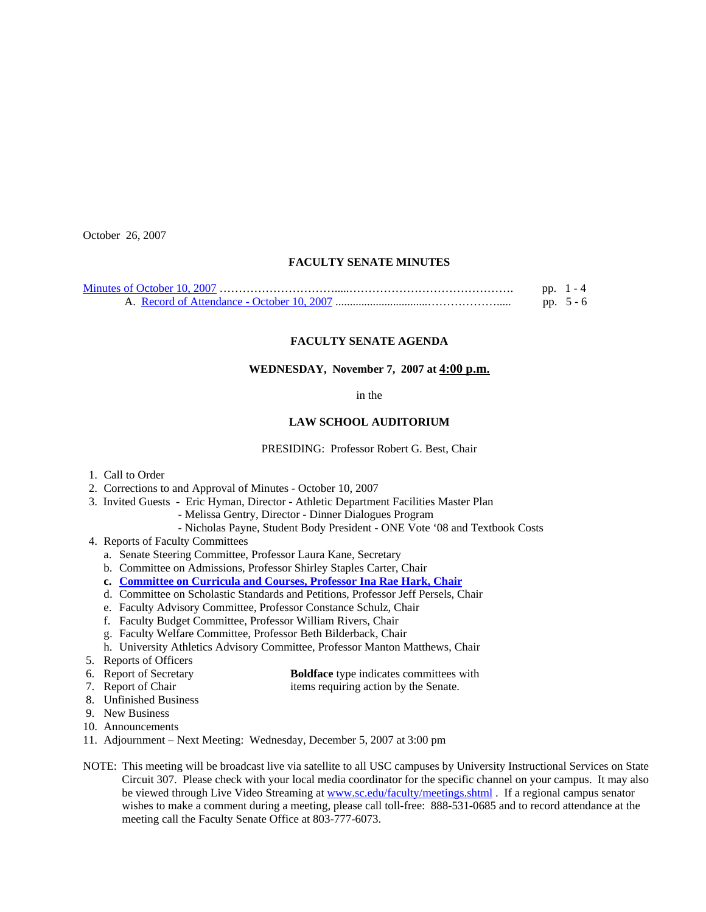October 26, 2007

# **FACULTY SENATE MINUTES**

|  | pp. $1 - 4$ |
|--|-------------|
|  | pp. $5 - 6$ |

# **FACULTY SENATE AGENDA**

## **WEDNESDAY, November 7, 2007 at 4:00 p.m.**

in the

#### **LAW SCHOOL AUDITORIUM**

PRESIDING: Professor Robert G. Best, Chair

- 1. Call to Order
- 2. Corrections to and Approval of Minutes October 10, 2007
- 3. Invited Guests Eric Hyman, Director Athletic Department Facilities Master Plan
	- Melissa Gentry, Director Dinner Dialogues Program
	- Nicholas Payne, Student Body President ONE Vote '08 and Textbook Costs
- 4. Reports of Faculty Committees
	- a. Senate Steering Committee, Professor Laura Kane, Secretary
	- b. Committee on Admissions, Professor Shirley Staples Carter, Chair
	- **c. [Committee on Curricula and Courses, Professor Ina Rae Hark, Chair](http://www.sc.edu/faculty/senate/07/agenda/1107.cc.pdf)**
	- d. Committee on Scholastic Standards and Petitions, Professor Jeff Persels, Chair
	- e. Faculty Advisory Committee, Professor Constance Schulz, Chair
	- f. Faculty Budget Committee, Professor William Rivers, Chair
	- g. Faculty Welfare Committee, Professor Beth Bilderback, Chair
	- h. University Athletics Advisory Committee, Professor Manton Matthews, Chair
- 5. Reports of Officers
- 6. Report of Secretary **Boldface** type indicates committees with
- 7. Report of Chair items requiring action by the Senate.
- 8. Unfinished Business
- 9. New Business
- 10. Announcements
- 11. Adjournment Next Meeting: Wednesday, December 5, 2007 at 3:00 pm
- NOTE: This meeting will be broadcast live via satellite to all USC campuses by University Instructional Services on State Circuit 307. Please check with your local media coordinator for the specific channel on your campus. It may also be viewed through Live Video Streaming at [www.sc.edu/faculty/meetings.shtml](http://www.sc.edu/faculty/meetings.shtml) . If a regional campus senator wishes to make a comment during a meeting, please call toll-free: 888-531-0685 and to record attendance at the meeting call the Faculty Senate Office at 803-777-6073.